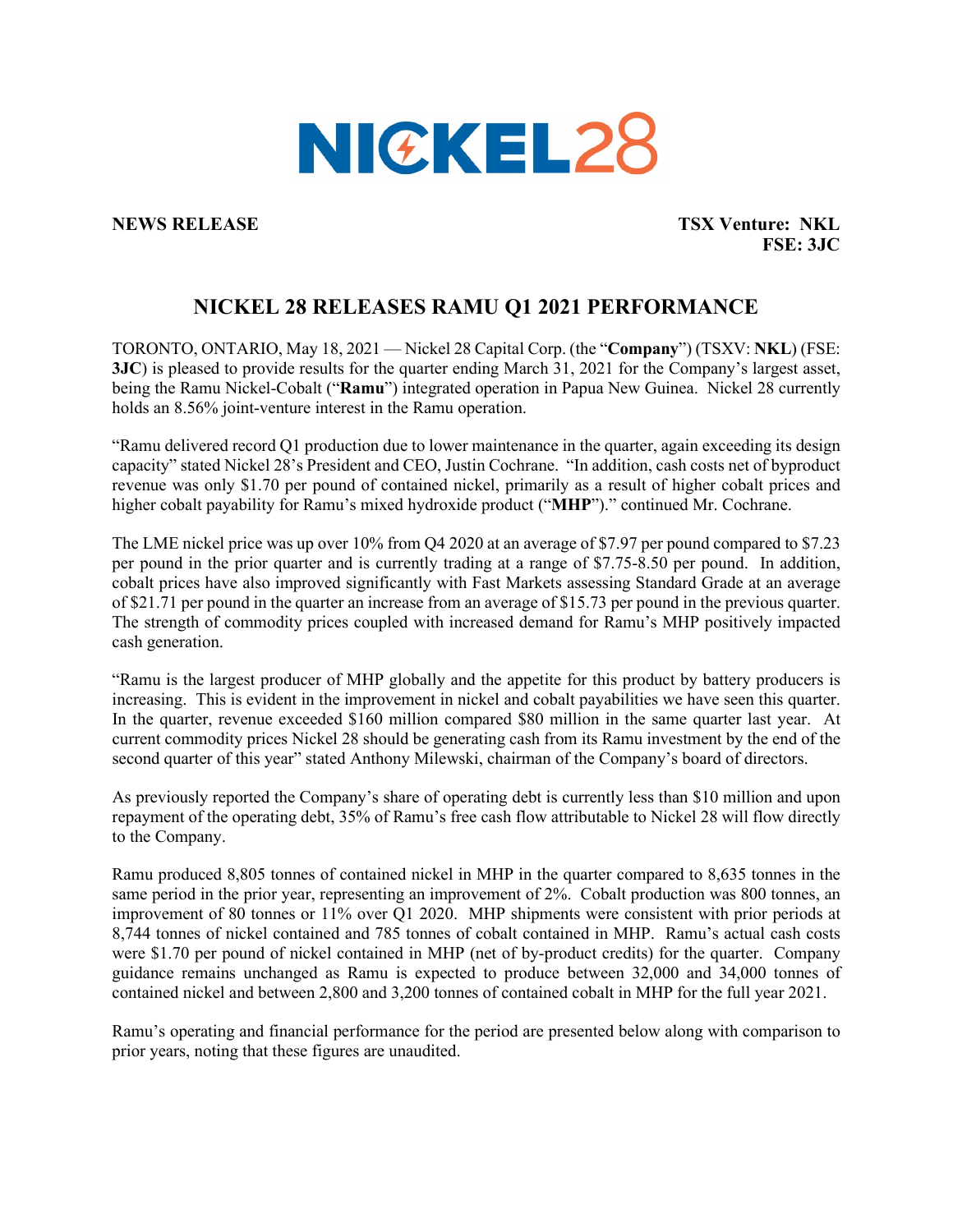

**NEWS RELEASE TSX Venture: NKL FSE: 3JC**

## **NICKEL 28 RELEASES RAMU Q1 2021 PERFORMANCE**

TORONTO, ONTARIO, May 18, 2021 — Nickel 28 Capital Corp. (the "**Company**") (TSXV: **NKL**) (FSE: **3JC**) is pleased to provide results for the quarter ending March 31, 2021 for the Company's largest asset, being the Ramu Nickel-Cobalt ("**Ramu**") integrated operation in Papua New Guinea. Nickel 28 currently holds an 8.56% joint-venture interest in the Ramu operation.

"Ramu delivered record Q1 production due to lower maintenance in the quarter, again exceeding its design capacity" stated Nickel 28's President and CEO, Justin Cochrane. "In addition, cash costs net of byproduct revenue was only \$1.70 per pound of contained nickel, primarily as a result of higher cobalt prices and higher cobalt payability for Ramu's mixed hydroxide product ("**MHP**")." continued Mr. Cochrane.

The LME nickel price was up over 10% from Q4 2020 at an average of \$7.97 per pound compared to \$7.23 per pound in the prior quarter and is currently trading at a range of \$7.75-8.50 per pound. In addition, cobalt prices have also improved significantly with Fast Markets assessing Standard Grade at an average of \$21.71 per pound in the quarter an increase from an average of \$15.73 per pound in the previous quarter. The strength of commodity prices coupled with increased demand for Ramu's MHP positively impacted cash generation.

"Ramu is the largest producer of MHP globally and the appetite for this product by battery producers is increasing. This is evident in the improvement in nickel and cobalt payabilities we have seen this quarter. In the quarter, revenue exceeded \$160 million compared \$80 million in the same quarter last year. At current commodity prices Nickel 28 should be generating cash from its Ramu investment by the end of the second quarter of this year" stated Anthony Milewski, chairman of the Company's board of directors.

As previously reported the Company's share of operating debt is currently less than \$10 million and upon repayment of the operating debt, 35% of Ramu's free cash flow attributable to Nickel 28 will flow directly to the Company.

Ramu produced 8,805 tonnes of contained nickel in MHP in the quarter compared to 8,635 tonnes in the same period in the prior year, representing an improvement of 2%. Cobalt production was 800 tonnes, an improvement of 80 tonnes or 11% over Q1 2020. MHP shipments were consistent with prior periods at 8,744 tonnes of nickel contained and 785 tonnes of cobalt contained in MHP. Ramu's actual cash costs were \$1.70 per pound of nickel contained in MHP (net of by-product credits) for the quarter. Company guidance remains unchanged as Ramu is expected to produce between 32,000 and 34,000 tonnes of contained nickel and between 2,800 and 3,200 tonnes of contained cobalt in MHP for the full year 2021.

Ramu's operating and financial performance for the period are presented below along with comparison to prior years, noting that these figures are unaudited.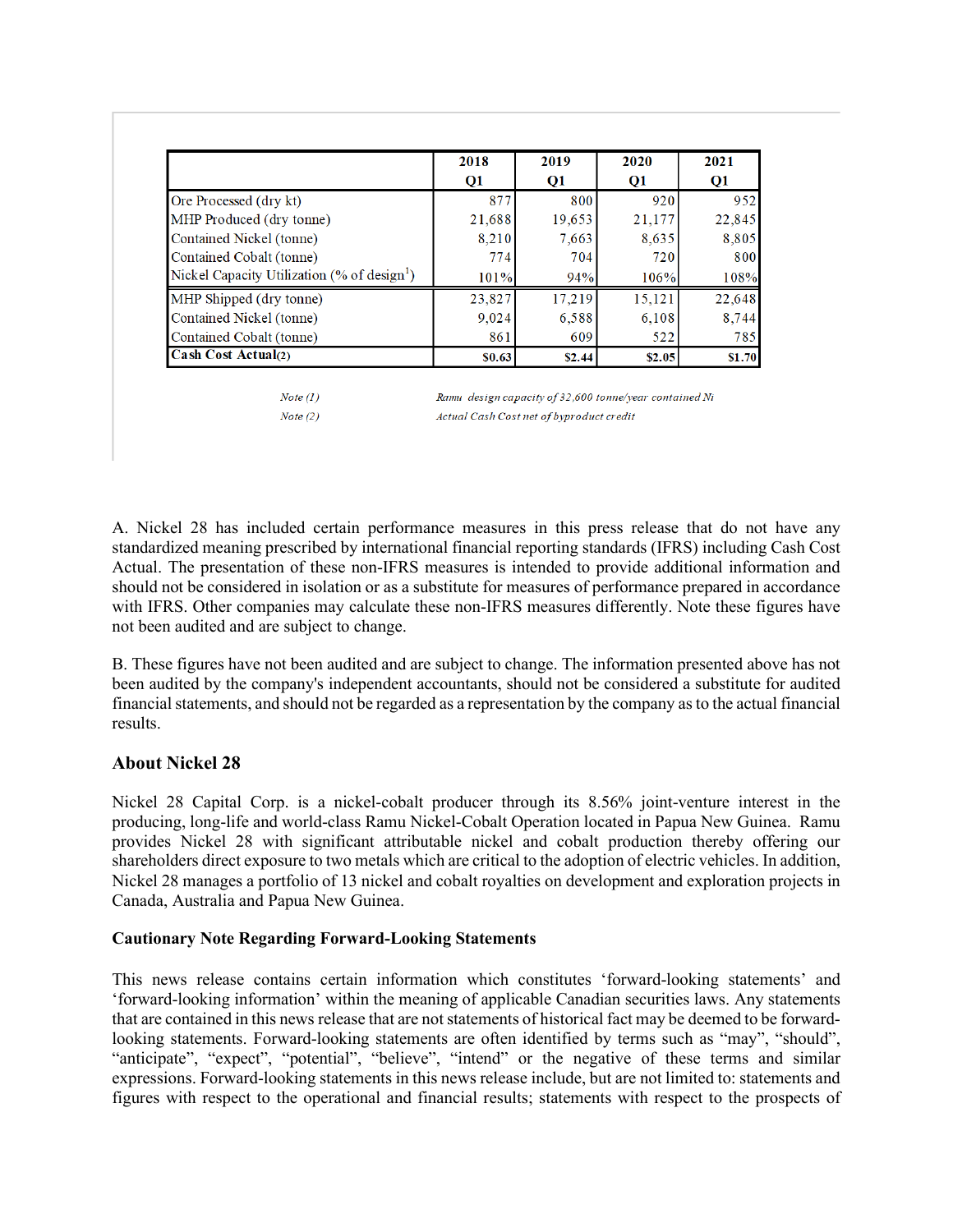|                                                         | 2018<br>Q <sub>1</sub> | 2019<br>$\mathbf{Q}$ 1 | 2020<br>Q1 | 2021<br>Q <sub>1</sub> |
|---------------------------------------------------------|------------------------|------------------------|------------|------------------------|
|                                                         |                        |                        |            |                        |
| Ore Processed (dry kt)                                  | 877                    | 800                    | 920        | 952                    |
| MHP Produced (dry tonne)                                | 21,688                 | 19.653                 | 21,177     | 22,845                 |
| Contained Nickel (tonne)                                | 8.210                  | 7,663                  | 8,635      | 8,805                  |
| Contained Cobalt (tonne)                                | 774                    | 704                    | 720        | 800                    |
| Nickel Capacity Utilization (% of design <sup>1</sup> ) | 101%                   | 94%                    | 106%       | 108%                   |
| MHP Shipped (dry tonne)                                 | 23,827                 | 17.219                 | 15,121     | 22,648                 |
| Contained Nickel (tonne)                                | 9,024                  | 6.588                  | 6,108      | 8,744                  |
| Contained Cobalt (tonne)                                | 861                    | 609                    | 522        | 785                    |
| Cash Cost Actual(2)                                     | \$0.63                 | \$2.44                 | \$2.05     | \$1.70                 |

 $Note (1)$  $Note (2)$  Ramu design capacity of 32,600 tonne/year contained Ni Actual Cash Cost net of byproduct credit

A. Nickel 28 has included certain performance measures in this press release that do not have any standardized meaning prescribed by international financial reporting standards (IFRS) including Cash Cost Actual. The presentation of these non-IFRS measures is intended to provide additional information and should not be considered in isolation or as a substitute for measures of performance prepared in accordance with IFRS. Other companies may calculate these non-IFRS measures differently. Note these figures have not been audited and are subject to change.

B. These figures have not been audited and are subject to change. The information presented above has not been audited by the company's independent accountants, should not be considered a substitute for audited financial statements, and should not be regarded as a representation by the company as to the actual financial results.

## **About Nickel 28**

Nickel 28 Capital Corp. is a nickel-cobalt producer through its 8.56% joint-venture interest in the producing, long-life and world-class Ramu Nickel-Cobalt Operation located in Papua New Guinea. Ramu provides Nickel 28 with significant attributable nickel and cobalt production thereby offering our shareholders direct exposure to two metals which are critical to the adoption of electric vehicles. In addition, Nickel 28 manages a portfolio of 13 nickel and cobalt royalties on development and exploration projects in Canada, Australia and Papua New Guinea.

## **Cautionary Note Regarding Forward-Looking Statements**

This news release contains certain information which constitutes 'forward-looking statements' and 'forward-looking information' within the meaning of applicable Canadian securities laws. Any statements that are contained in this news release that are not statements of historical fact may be deemed to be forwardlooking statements. Forward-looking statements are often identified by terms such as "may", "should", "anticipate", "expect", "potential", "believe", "intend" or the negative of these terms and similar expressions. Forward-looking statements in this news release include, but are not limited to: statements and figures with respect to the operational and financial results; statements with respect to the prospects of